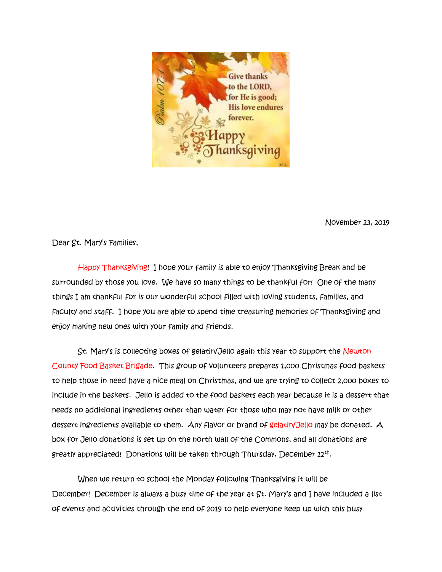

November 23, 2019

Dear St. Mary's Families,

 Happy Thanksgiving! I hope your family is able to enjoy Thanksgiving Break and be surrounded by those you love. We have so many things to be thankful for! One of the many things I am thankful for is our wonderful school filled with loving students, families, and faculty and staff. I hope you are able to spend time treasuring memories of Thanksgiving and enjoy making new ones with your family and friends.

 St. Mary's is collecting boxes of gelatin/Jello again this year to support the Newton County Food Basket Brigade. This group of volunteers prepares 1,000 Christmas food baskets to help those in need have a nice meal on Christmas, and we are trying to collect 2,000 boxes to include in the baskets. Jello is added to the food baskets each year because it is a dessert that needs no additional ingredients other than water for those who may not have milk or other dessert ingredients available to them. Any flavor or brand of gelatin/Jello may be donated. A box for Jello donations is set up on the north wall of the Commons, and all donations are greatly appreciated! Donations will be taken through Thursday, December  $\boldsymbol{\scriptstyle 12}^{\text{th}}.$ 

 When we return to school the Monday following Thanksgiving it will be December! December is always a busy time of the year at St. Mary's and I have included a list of events and activities through the end of 2019 to help everyone keep up with this busy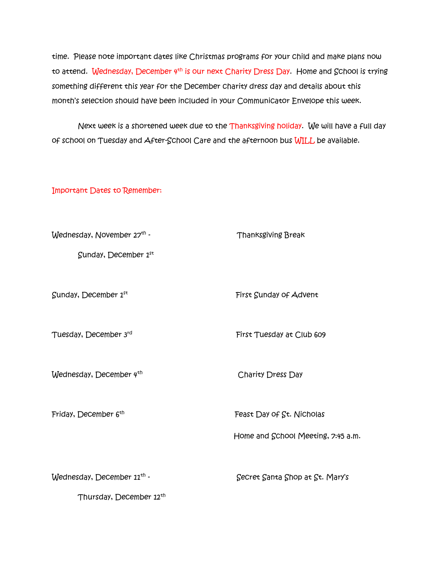time. Please note important dates like Christmas programs for your child and make plans now to attend. Wednesday, December 4<sup>th</sup> is our next Charity Dress Day. Home and School is trying something different this year for the December charity dress day and details about this month's selection should have been included in your Communicator Envelope this week.

 Next week is a shortened week due to the Thanksgiving holiday. We will have a full day of school on Tuesday and After-School Care and the afternoon bus WILL be available.

Important Dates to Remember:

| Wednesday, November 27th -             | <b>Thanksgiving Break</b>          |
|----------------------------------------|------------------------------------|
| Sunday, December $1^{st}$              |                                    |
|                                        |                                    |
| Sunday, December $1^{st}$              | First Sunday of Advent             |
|                                        |                                    |
| Tuesday, December 3rd                  | First Tuesday at Club 609          |
|                                        |                                    |
| Wednesday, December $4th$              | Charity Dress Day                  |
|                                        |                                    |
| Friday, December 6th                   | Feast Day of St. Nicholas          |
|                                        |                                    |
|                                        | Home and School Meeting, 7:45 a.m. |
|                                        |                                    |
| Wednesday, December 21 <sup>th</sup> - | Secret Santa Shop at St. Mary's    |
| Thursday, December 12th                |                                    |